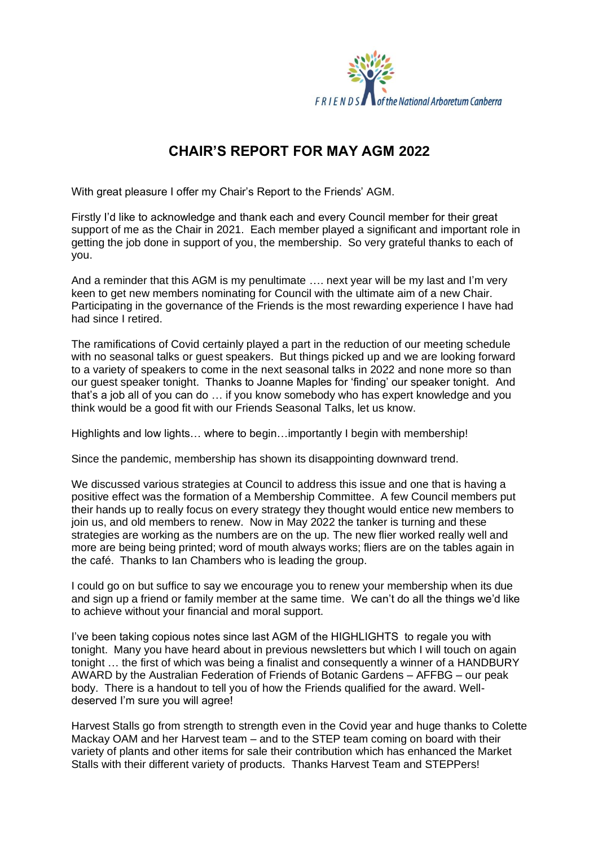

## **CHAIR'S REPORT FOR MAY AGM 2022**

With great pleasure I offer my Chair's Report to the Friends' AGM.

Firstly I'd like to acknowledge and thank each and every Council member for their great support of me as the Chair in 2021. Each member played a significant and important role in getting the job done in support of you, the membership. So very grateful thanks to each of you.

And a reminder that this AGM is my penultimate …. next year will be my last and I'm very keen to get new members nominating for Council with the ultimate aim of a new Chair. Participating in the governance of the Friends is the most rewarding experience I have had had since I retired.

The ramifications of Covid certainly played a part in the reduction of our meeting schedule with no seasonal talks or guest speakers. But things picked up and we are looking forward to a variety of speakers to come in the next seasonal talks in 2022 and none more so than our guest speaker tonight. Thanks to Joanne Maples for 'finding' our speaker tonight. And that's a job all of you can do … if you know somebody who has expert knowledge and you think would be a good fit with our Friends Seasonal Talks, let us know.

Highlights and low lights… where to begin…importantly I begin with membership!

Since the pandemic, membership has shown its disappointing downward trend.

We discussed various strategies at Council to address this issue and one that is having a positive effect was the formation of a Membership Committee. A few Council members put their hands up to really focus on every strategy they thought would entice new members to join us, and old members to renew. Now in May 2022 the tanker is turning and these strategies are working as the numbers are on the up. The new flier worked really well and more are being being printed; word of mouth always works; fliers are on the tables again in the café. Thanks to Ian Chambers who is leading the group.

I could go on but suffice to say we encourage you to renew your membership when its due and sign up a friend or family member at the same time. We can't do all the things we'd like to achieve without your financial and moral support.

I've been taking copious notes since last AGM of the HIGHLIGHTS to regale you with tonight. Many you have heard about in previous newsletters but which I will touch on again tonight … the first of which was being a finalist and consequently a winner of a HANDBURY AWARD by the Australian Federation of Friends of Botanic Gardens – AFFBG – our peak body. There is a handout to tell you of how the Friends qualified for the award. Welldeserved I'm sure you will agree!

Harvest Stalls go from strength to strength even in the Covid year and huge thanks to Colette Mackay OAM and her Harvest team – and to the STEP team coming on board with their variety of plants and other items for sale their contribution which has enhanced the Market Stalls with their different variety of products. Thanks Harvest Team and STEPPers!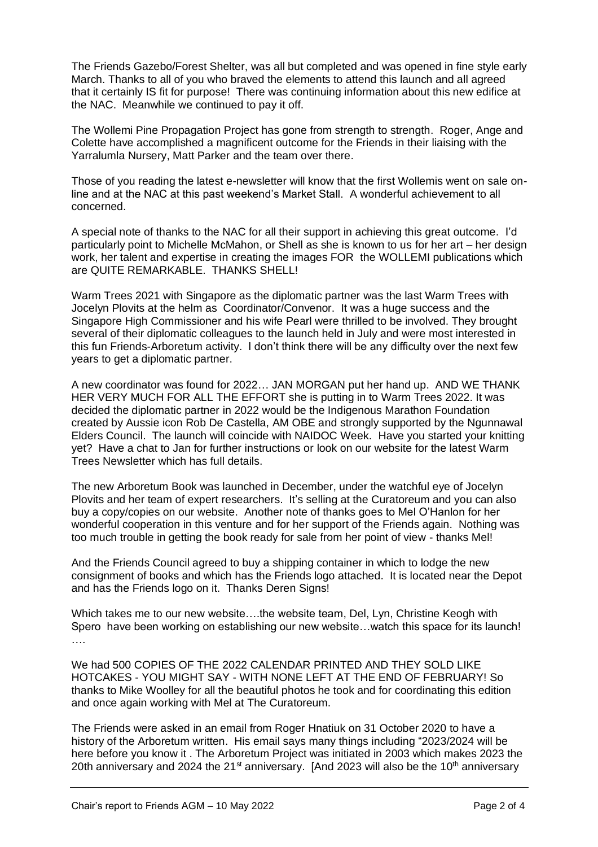The Friends Gazebo/Forest Shelter, was all but completed and was opened in fine style early March. Thanks to all of you who braved the elements to attend this launch and all agreed that it certainly IS fit for purpose! There was continuing information about this new edifice at the NAC. Meanwhile we continued to pay it off.

The Wollemi Pine Propagation Project has gone from strength to strength. Roger, Ange and Colette have accomplished a magnificent outcome for the Friends in their liaising with the Yarralumla Nursery, Matt Parker and the team over there.

Those of you reading the latest e-newsletter will know that the first Wollemis went on sale online and at the NAC at this past weekend's Market Stall. A wonderful achievement to all concerned.

A special note of thanks to the NAC for all their support in achieving this great outcome. I'd particularly point to Michelle McMahon, or Shell as she is known to us for her art – her design work, her talent and expertise in creating the images FOR the WOLLEMI publications which are QUITE REMARKABLE. THANKS SHELL!

Warm Trees 2021 with Singapore as the diplomatic partner was the last Warm Trees with Jocelyn Plovits at the helm as Coordinator/Convenor. It was a huge success and the Singapore High Commissioner and his wife Pearl were thrilled to be involved. They brought several of their diplomatic colleagues to the launch held in July and were most interested in this fun Friends-Arboretum activity. I don't think there will be any difficulty over the next few years to get a diplomatic partner.

A new coordinator was found for 2022… JAN MORGAN put her hand up. AND WE THANK HER VERY MUCH FOR ALL THE EFFORT she is putting in to Warm Trees 2022. It was decided the diplomatic partner in 2022 would be the Indigenous Marathon Foundation created by Aussie icon Rob De Castella, AM OBE and strongly supported by the Ngunnawal Elders Council. The launch will coincide with NAIDOC Week. Have you started your knitting yet? Have a chat to Jan for further instructions or look on our website for the latest Warm Trees Newsletter which has full details.

The new Arboretum Book was launched in December, under the watchful eye of Jocelyn Plovits and her team of expert researchers. It's selling at the Curatoreum and you can also buy a copy/copies on our website. Another note of thanks goes to Mel O'Hanlon for her wonderful cooperation in this venture and for her support of the Friends again. Nothing was too much trouble in getting the book ready for sale from her point of view - thanks Mel!

And the Friends Council agreed to buy a shipping container in which to lodge the new consignment of books and which has the Friends logo attached. It is located near the Depot and has the Friends logo on it. Thanks Deren Signs!

Which takes me to our new website….the website team, Del, Lyn, Christine Keogh with Spero have been working on establishing our new website…watch this space for its launch! ….

We had 500 COPIES OF THE 2022 CALENDAR PRINTED AND THEY SOLD LIKE HOTCAKES - YOU MIGHT SAY - WITH NONE LEFT AT THE END OF FEBRUARY! So thanks to Mike Woolley for all the beautiful photos he took and for coordinating this edition and once again working with Mel at The Curatoreum.

The Friends were asked in an email from Roger Hnatiuk on 31 October 2020 to have a history of the Arboretum written. His email says many things including "2023/2024 will be here before you know it . The Arboretum Project was initiated in 2003 which makes 2023 the 20th anniversary and 2024 the  $21^{st}$  anniversary. [And 2023 will also be the 10<sup>th</sup> anniversary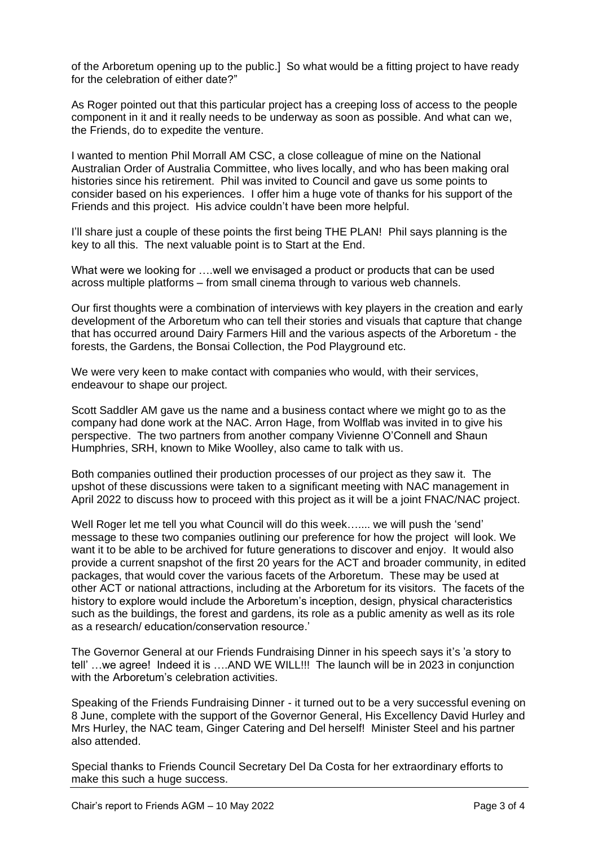of the Arboretum opening up to the public.] So what would be a fitting project to have ready for the celebration of either date?"

As Roger pointed out that this particular project has a creeping loss of access to the people component in it and it really needs to be underway as soon as possible. And what can we, the Friends, do to expedite the venture.

I wanted to mention Phil Morrall AM CSC, a close colleague of mine on the National Australian Order of Australia Committee, who lives locally, and who has been making oral histories since his retirement. Phil was invited to Council and gave us some points to consider based on his experiences. I offer him a huge vote of thanks for his support of the Friends and this project. His advice couldn't have been more helpful.

I'll share just a couple of these points the first being THE PLAN! Phil says planning is the key to all this. The next valuable point is to Start at the End.

What were we looking for ….well we envisaged a product or products that can be used across multiple platforms – from small cinema through to various web channels.

Our first thoughts were a combination of interviews with key players in the creation and early development of the Arboretum who can tell their stories and visuals that capture that change that has occurred around Dairy Farmers Hill and the various aspects of the Arboretum - the forests, the Gardens, the Bonsai Collection, the Pod Playground etc.

We were very keen to make contact with companies who would, with their services, endeavour to shape our project.

Scott Saddler AM gave us the name and a business contact where we might go to as the company had done work at the NAC. Arron Hage, from Wolflab was invited in to give his perspective. The two partners from another company Vivienne O'Connell and Shaun Humphries, SRH, known to Mike Woolley, also came to talk with us.

Both companies outlined their production processes of our project as they saw it. The upshot of these discussions were taken to a significant meeting with NAC management in April 2022 to discuss how to proceed with this project as it will be a joint FNAC/NAC project.

Well Roger let me tell you what Council will do this week....... we will push the 'send' message to these two companies outlining our preference for how the project will look. We want it to be able to be archived for future generations to discover and enjoy. It would also provide a current snapshot of the first 20 years for the ACT and broader community, in edited packages, that would cover the various facets of the Arboretum. These may be used at other ACT or national attractions, including at the Arboretum for its visitors. The facets of the history to explore would include the Arboretum's inception, design, physical characteristics such as the buildings, the forest and gardens, its role as a public amenity as well as its role as a research/ education/conservation resource.'

The Governor General at our Friends Fundraising Dinner in his speech says it's 'a story to tell' …we agree! Indeed it is ….AND WE WILL!!! The launch will be in 2023 in conjunction with the Arboretum's celebration activities.

Speaking of the Friends Fundraising Dinner - it turned out to be a very successful evening on 8 June, complete with the support of the Governor General, His Excellency David Hurley and Mrs Hurley, the NAC team, Ginger Catering and Del herself! Minister Steel and his partner also attended.

Special thanks to Friends Council Secretary Del Da Costa for her extraordinary efforts to make this such a huge success.